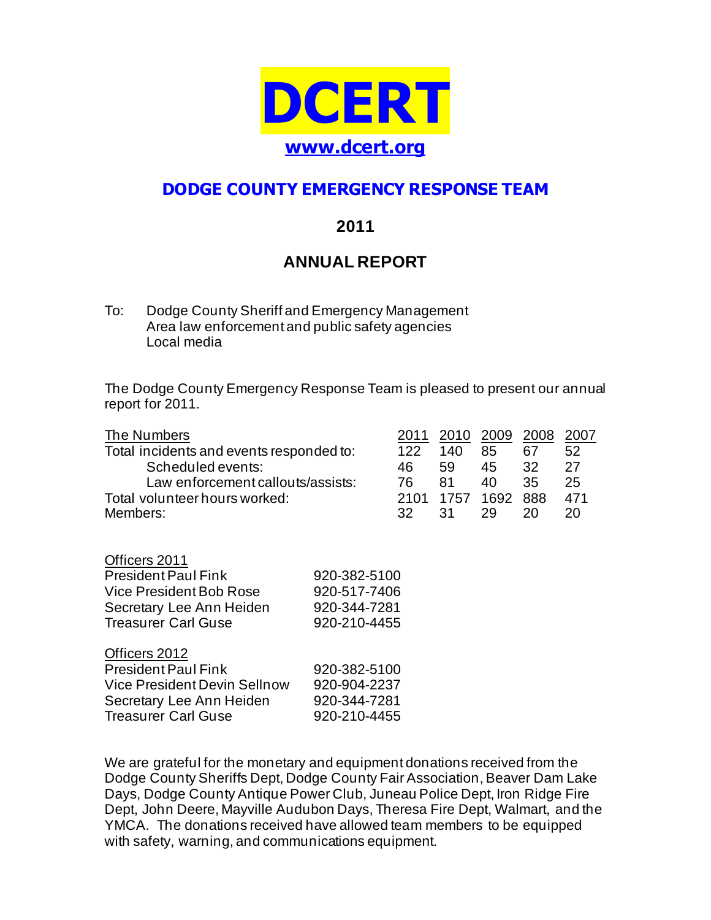

# **DODGE COUNTY EMERGENCY RESPONSE TEAM**

### **2011**

## **ANNUAL REPORT**

To: Dodge County Sheriff and Emergency Management Area law enforcement and public safety agencies Local media

The Dodge County Emergency Response Team is pleased to present our annual report for 2011.

| The Numbers                                                                                        |              | 2011 | 2010 | 2009 | 2008 | 2007 |
|----------------------------------------------------------------------------------------------------|--------------|------|------|------|------|------|
| Total incidents and events responded to:<br>Scheduled events:<br>Law enforcement callouts/assists: |              | 122  | 140  | 85   | 67   | 52   |
|                                                                                                    |              | 46   | 59   | 45   | 32   | 27   |
|                                                                                                    |              | 76   | 81   | 40   | 35   | 25   |
| Total volunteer hours worked:                                                                      |              | 2101 | 1757 | 1692 | 888  | 471  |
| Members:                                                                                           |              | 32   | 31   | 29   | 20   | 20   |
|                                                                                                    |              |      |      |      |      |      |
| Officers 2011                                                                                      |              |      |      |      |      |      |
| <b>President Paul Fink</b>                                                                         | 920-382-5100 |      |      |      |      |      |
| Vice President Bob Rose                                                                            | 920-517-7406 |      |      |      |      |      |
| Secretary Lee Ann Heiden                                                                           | 920-344-7281 |      |      |      |      |      |
| <b>Treasurer Carl Guse</b>                                                                         | 920-210-4455 |      |      |      |      |      |
|                                                                                                    |              |      |      |      |      |      |
| Officers 2012                                                                                      |              |      |      |      |      |      |
| <b>President Paul Fink</b>                                                                         | 920-382-5100 |      |      |      |      |      |
| Vice President Devin Sellnow                                                                       | 920-904-2237 |      |      |      |      |      |
| Secretary Lee Ann Heiden                                                                           | 920-344-7281 |      |      |      |      |      |
| <b>Treasurer Carl Guse</b>                                                                         | 920-210-4455 |      |      |      |      |      |

We are grateful for the monetary and equipment donations received from the Dodge County Sheriffs Dept, Dodge County Fair Association, Beaver Dam Lake Days, Dodge County Antique Power Club, Juneau Police Dept, Iron Ridge Fire Dept, John Deere, Mayville Audubon Days, Theresa Fire Dept, Walmart, and the YMCA. The donations received have allowed team members to be equipped with safety, warning, and communications equipment.